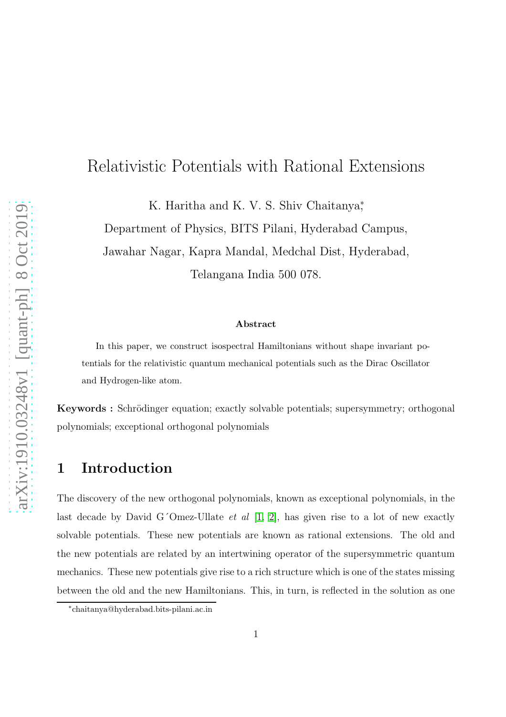### Relativistic Potentials with Rational Extensions

K. Haritha and K. V. S. Shiv Chaitanya<sup>\*</sup>,

Department of Physics, BITS Pilani, Hyderabad Campus, Jawahar Nagar, Kapra Mandal, Medchal Dist, Hyderabad, Telangana India 500 078.

#### Abstract

In this paper, we construct isospectral Hamiltonians without shape invariant potentials for the relativistic quantum mechanical potentials such as the Dirac Oscillator and Hydrogen-like atom.

Keywords : Schrödinger equation; exactly solvable potentials; supersymmetry; orthogonal polynomials; exceptional orthogonal polynomials

#### 1 Introduction

The discovery of the new orthogonal polynomials, known as exceptional polynomials, in the last decade by David G'Omez-Ullate *et al*  $[1, 2]$  $[1, 2]$ , has given rise to a lot of new exactly solvable potentials. These new potentials are known as rational extensions. The old and the new potentials are related by an intertwining operator of the supersymmetric quantum mechanics. These new potentials give rise to a rich structure which is one of the states missing between the old and the new Hamiltonians. This, in turn, is reflected in the solution as one

<sup>∗</sup> chaitanya@hyderabad.bits-pilani.ac.in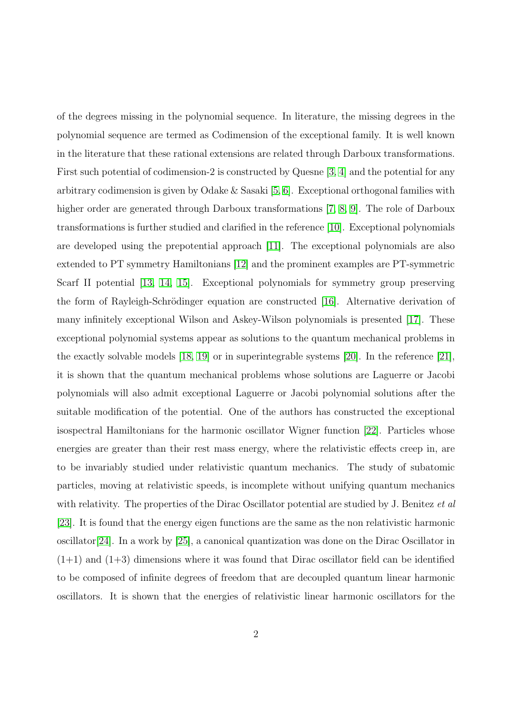of the degrees missing in the polynomial sequence. In literature, the missing degrees in the polynomial sequence are termed as Codimension of the exceptional family. It is well known in the literature that these rational extensions are related through Darboux transformations. First such potential of codimension-2 is constructed by Quesne [\[3,](#page-15-2) [4\]](#page-15-3) and the potential for any arbitrary codimension is given by Odake & Sasaki [\[5,](#page-15-4) [6\]](#page-15-5). Exceptional orthogonal families with higher order are generated through Darboux transformations [\[7,](#page-15-6) [8,](#page-15-7) [9\]](#page-15-8). The role of Darboux transformations is further studied and clarified in the reference [\[10\]](#page-15-9). Exceptional polynomials are developed using the prepotential approach [\[11\]](#page-15-10). The exceptional polynomials are also extended to PT symmetry Hamiltonians [\[12\]](#page-15-11) and the prominent examples are PT-symmetric Scarf II potential [\[13,](#page-16-0) [14,](#page-16-1) [15\]](#page-16-2). Exceptional polynomials for symmetry group preserving the form of Rayleigh-Schrödinger equation are constructed [\[16\]](#page-16-3). Alternative derivation of many infinitely exceptional Wilson and Askey-Wilson polynomials is presented [\[17\]](#page-16-4). These exceptional polynomial systems appear as solutions to the quantum mechanical problems in the exactly solvable models [\[18,](#page-16-5) [19\]](#page-16-6) or in superintegrable systems [\[20\]](#page-16-7). In the reference [\[21\]](#page-16-8), it is shown that the quantum mechanical problems whose solutions are Laguerre or Jacobi polynomials will also admit exceptional Laguerre or Jacobi polynomial solutions after the suitable modification of the potential. One of the authors has constructed the exceptional isospectral Hamiltonians for the harmonic oscillator Wigner function [\[22\]](#page-16-9). Particles whose energies are greater than their rest mass energy, where the relativistic effects creep in, are to be invariably studied under relativistic quantum mechanics. The study of subatomic particles, moving at relativistic speeds, is incomplete without unifying quantum mechanics with relativity. The properties of the Dirac Oscillator potential are studied by J. Benitez et al. [\[23\]](#page-16-10). It is found that the energy eigen functions are the same as the non relativistic harmonic oscillator[\[24\]](#page-16-11). In a work by [\[25\]](#page-16-12), a canonical quantization was done on the Dirac Oscillator in  $(1+1)$  and  $(1+3)$  dimensions where it was found that Dirac oscillator field can be identified to be composed of infinite degrees of freedom that are decoupled quantum linear harmonic oscillators. It is shown that the energies of relativistic linear harmonic oscillators for the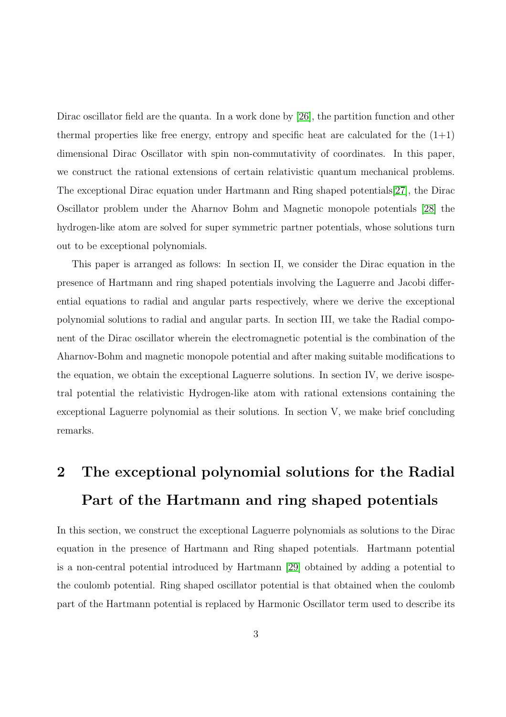Dirac oscillator field are the quanta. In a work done by [\[26\]](#page-16-13), the partition function and other thermal properties like free energy, entropy and specific heat are calculated for the  $(1+1)$ dimensional Dirac Oscillator with spin non-commutativity of coordinates. In this paper, we construct the rational extensions of certain relativistic quantum mechanical problems. The exceptional Dirac equation under Hartmann and Ring shaped potentials[\[27\]](#page-16-14), the Dirac Oscillator problem under the Aharnov Bohm and Magnetic monopole potentials [\[28\]](#page-16-15) the hydrogen-like atom are solved for super symmetric partner potentials, whose solutions turn out to be exceptional polynomials.

This paper is arranged as follows: In section II, we consider the Dirac equation in the presence of Hartmann and ring shaped potentials involving the Laguerre and Jacobi differential equations to radial and angular parts respectively, where we derive the exceptional polynomial solutions to radial and angular parts. In section III, we take the Radial component of the Dirac oscillator wherein the electromagnetic potential is the combination of the Aharnov-Bohm and magnetic monopole potential and after making suitable modifications to the equation, we obtain the exceptional Laguerre solutions. In section IV, we derive isospetral potential the relativistic Hydrogen-like atom with rational extensions containing the exceptional Laguerre polynomial as their solutions. In section V, we make brief concluding remarks.

# 2 The exceptional polynomial solutions for the Radial Part of the Hartmann and ring shaped potentials

In this section, we construct the exceptional Laguerre polynomials as solutions to the Dirac equation in the presence of Hartmann and Ring shaped potentials. Hartmann potential is a non-central potential introduced by Hartmann [\[29\]](#page-17-0) obtained by adding a potential to the coulomb potential. Ring shaped oscillator potential is that obtained when the coulomb part of the Hartmann potential is replaced by Harmonic Oscillator term used to describe its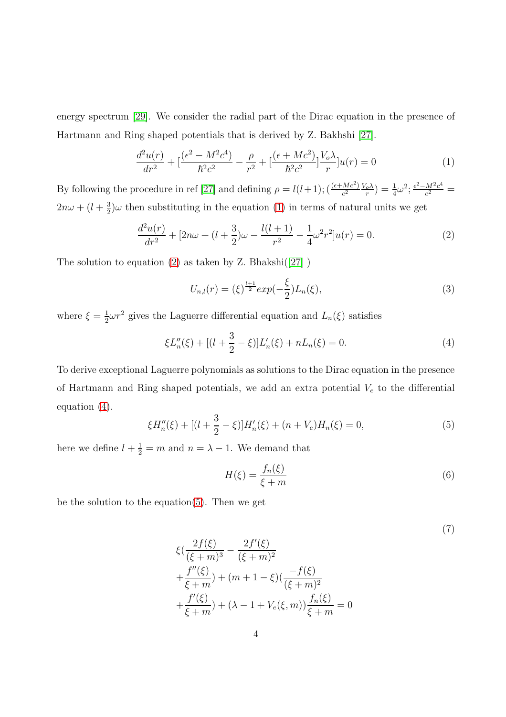energy spectrum [\[29\]](#page-17-0). We consider the radial part of the Dirac equation in the presence of Hartmann and Ring shaped potentials that is derived by Z. Bakhshi [\[27\]](#page-16-14).

<span id="page-3-0"></span>
$$
\frac{d^2u(r)}{dr^2} + \left[\frac{(\epsilon^2 - M^2c^4)}{\hbar^2c^2} - \frac{\rho}{r^2} + \left[\frac{(\epsilon + Mc^2)}{\hbar^2c^2}\right] \frac{V_o\lambda}{r}\right]u(r) = 0\tag{1}
$$

By following the procedure in ref [\[27\]](#page-16-14) and defining  $\rho = l(l+1);$   $\left(\frac{(\epsilon + Mc^2)}{c^2}\right)$  $\frac{(Mc^2)}{c^2} \frac{V_o \lambda}{r}$  $(\frac{c}{r}) = \frac{1}{4}\omega^2; \frac{\epsilon^2 - M^2c^4}{c^2}$  $\frac{M^{2}c^{4}}{c^{2}} =$  $2n\omega + (l + \frac{3}{2})$  $\frac{3}{2}$ ) $\omega$  then substituting in the equation [\(1\)](#page-3-0) in terms of natural units we get

<span id="page-3-1"></span>
$$
\frac{d^2u(r)}{dr^2} + [2n\omega + (l + \frac{3}{2})\omega - \frac{l(l+1)}{r^2} - \frac{1}{4}\omega^2r^2]u(r) = 0.
$$
 (2)

The solution to equation  $(2)$  as taken by Z. Bhakshi $([27])$  $([27])$  $([27])$ 

$$
U_{n,l}(r) = (\xi)^{\frac{l+1}{2}} exp(-\frac{\xi}{2}) L_n(\xi), \tag{3}
$$

where  $\xi = \frac{1}{2}$  $\frac{1}{2}\omega r^2$  gives the Laguerre differential equation and  $L_n(\xi)$  satisfies

<span id="page-3-2"></span>
$$
\xi L''_n(\xi) + [(l + \frac{3}{2} - \xi)]L'_n(\xi) + nL_n(\xi) = 0.
$$
\n(4)

To derive exceptional Laguerre polynomials as solutions to the Dirac equation in the presence of Hartmann and Ring shaped potentials, we add an extra potential  $V_e$  to the differential equation [\(4\)](#page-3-2).

<span id="page-3-3"></span>
$$
\xi H_n''(\xi) + [(l + \frac{3}{2} - \xi)]H_n'(\xi) + (n + V_e)H_n(\xi) = 0,
$$
\n(5)

here we define  $l + \frac{1}{2} = m$  and  $n = \lambda - 1$ . We demand that

$$
H(\xi) = \frac{f_n(\xi)}{\xi + m} \tag{6}
$$

be the solution to the equation[\(5\)](#page-3-3). Then we get

$$
\xi\left(\frac{2f(\xi)}{(\xi+m)^3} - \frac{2f'(\xi)}{(\xi+m)^2} + \frac{f''(\xi)}{\xi+m}\right) + (m+1-\xi)\left(\frac{-f(\xi)}{(\xi+m)^2} + \frac{f'(\xi)}{\xi+m}\right) + (\lambda - 1 + V_e(\xi, m))\frac{f_n(\xi)}{\xi+m} = 0
$$
\n(7)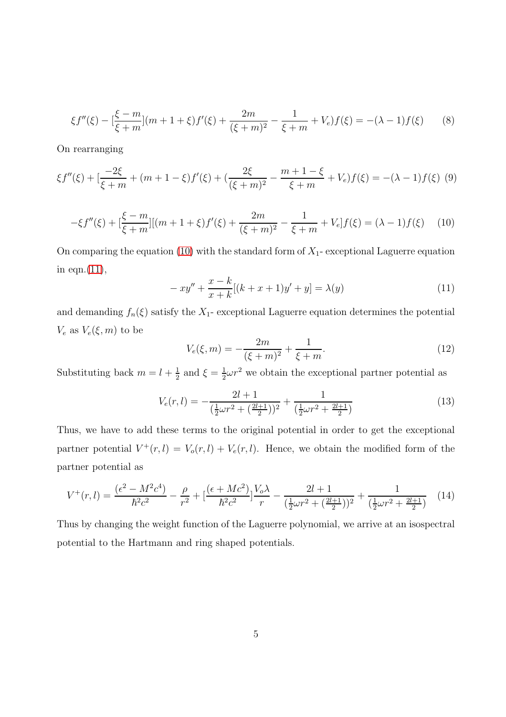$$
\xi f''(\xi) - \left[\frac{\xi - m}{\xi + m}\right](m + 1 + \xi)f'(\xi) + \frac{2m}{(\xi + m)^2} - \frac{1}{\xi + m} + V_e)f(\xi) = -(\lambda - 1)f(\xi) \tag{8}
$$

On rearranging

$$
\xi f''(\xi) + \left[\frac{-2\xi}{\xi + m} + (m + 1 - \xi)f'(\xi) + \left(\frac{2\xi}{(\xi + m)^2} - \frac{m + 1 - \xi}{\xi + m} + V_e\right)f(\xi) = -(\lambda - 1)f(\xi)
$$
(9)

<span id="page-4-0"></span>
$$
-\xi f''(\xi) + \left[\frac{\xi - m}{\xi + m}\right] [(m + 1 + \xi)f'(\xi) + \frac{2m}{(\xi + m)^2} - \frac{1}{\xi + m} + V_e] f(\xi) = (\lambda - 1)f(\xi) \tag{10}
$$

On comparing the equation [\(10\)](#page-4-0) with the standard form of  $X_1$ - exceptional Laguerre equation in eqn.[\(11\)](#page-4-1),

<span id="page-4-1"></span>
$$
-xy'' + \frac{x-k}{x+k}[(k+x+1)y'+y] = \lambda(y)
$$
\n(11)

and demanding  $f_n(\xi)$  satisfy the  $X_1$ - exceptional Laguerre equation determines the potential  $V_e$  as  $V_e(\xi, m)$  to be

$$
V_e(\xi, m) = -\frac{2m}{(\xi + m)^2} + \frac{1}{\xi + m}.
$$
\n(12)

Substituting back  $m = l + \frac{1}{2}$  $\frac{1}{2}$  and  $\xi = \frac{1}{2}$  $\frac{1}{2}\omega r^2$  we obtain the exceptional partner potential as

$$
V_e(r,l) = -\frac{2l+1}{\left(\frac{1}{2}\omega r^2 + \left(\frac{2l+1}{2}\right)\right)^2} + \frac{1}{\left(\frac{1}{2}\omega r^2 + \frac{2l+1}{2}\right)}\tag{13}
$$

Thus, we have to add these terms to the original potential in order to get the exceptional partner potential  $V^+(r, l) = V_o(r, l) + V_e(r, l)$ . Hence, we obtain the modified form of the partner potential as

$$
V^{+}(r,l) = \frac{(\epsilon^{2} - M^{2}c^{4})}{\hbar^{2}c^{2}} - \frac{\rho}{r^{2}} + \left[\frac{(\epsilon + Mc^{2})}{\hbar^{2}c^{2}}\right] \frac{V_{o}\lambda}{r} - \frac{2l+1}{\left(\frac{1}{2}\omega r^{2} + \left(\frac{2l+1}{2}\right)\right)^{2}} + \frac{1}{\left(\frac{1}{2}\omega r^{2} + \frac{2l+1}{2}\right)}\tag{14}
$$

Thus by changing the weight function of the Laguerre polynomial, we arrive at an isospectral potential to the Hartmann and ring shaped potentials.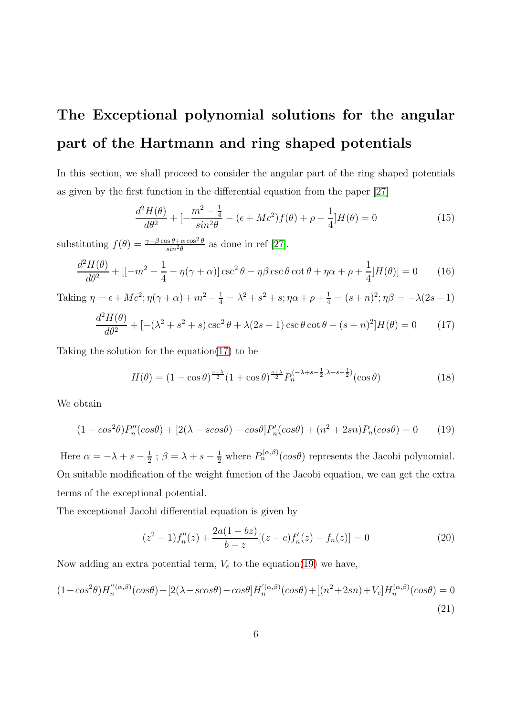# The Exceptional polynomial solutions for the angular part of the Hartmann and ring shaped potentials

In this section, we shall proceed to consider the angular part of the ring shaped potentials as given by the first function in the differential equation from the paper [\[27\]](#page-16-14)

$$
\frac{d^2H(\theta)}{d\theta^2} + \left[ -\frac{m^2 - \frac{1}{4}}{\sin^2\theta} - (\epsilon + Mc^2)f(\theta) + \rho + \frac{1}{4} \right] H(\theta) = 0 \tag{15}
$$

substituting  $f(\theta) = \frac{\gamma + \beta \cos \theta + \alpha \cos^2 \theta}{\sin^2 \theta}$  as done in ref [\[27\]](#page-16-14).

$$
\frac{d^2H(\theta)}{d\theta^2} + \left[ \left[ -m^2 - \frac{1}{4} - \eta(\gamma + \alpha) \right] \csc^2 \theta - \eta \beta \csc \theta \cot \theta + \eta \alpha + \rho + \frac{1}{4} \left[ H(\theta) \right] = 0 \tag{16}
$$

Taking 
$$
\eta = \epsilon + Mc^2
$$
;  $\eta(\gamma + \alpha) + m^2 - \frac{1}{4} = \lambda^2 + s^2 + s$ ;  $\eta \alpha + \rho + \frac{1}{4} = (s + n)^2$ ;  $\eta \beta = -\lambda(2s - 1)$ 

<span id="page-5-0"></span>
$$
\frac{d^2H(\theta)}{d\theta^2} + [-(\lambda^2 + s^2 + s)\csc^2\theta + \lambda(2s - 1)\csc\theta\cot\theta + (s + n)^2]H(\theta) = 0
$$
 (17)

Taking the solution for the equation $(17)$  to be

$$
H(\theta) = (1 - \cos \theta)^{\frac{s-\lambda}{2}} (1 + \cos \theta)^{\frac{s+\lambda}{2}} P_n^{(-\lambda + s - \frac{1}{2}, \lambda + s - \frac{1}{2})} (\cos \theta)
$$
(18)

We obtain

<span id="page-5-1"></span>
$$
(1 - \cos^2 \theta)P_n''(\cos \theta) + [2(\lambda - \cos \theta) - \cos \theta]P_n'(\cos \theta) + (n^2 + 2sn)P_n(\cos \theta) = 0 \tag{19}
$$

Here  $\alpha = -\lambda + s - \frac{1}{2}$  $\frac{1}{2}$ ;  $\beta = \lambda + s - \frac{1}{2}$  where  $P_n^{(\alpha,\beta)}(\cos\theta)$  represents the Jacobi polynomial. On suitable modification of the weight function of the Jacobi equation, we can get the extra terms of the exceptional potential.

The exceptional Jacobi differential equation is given by

<span id="page-5-3"></span>
$$
(z2 - 1) f''n(z) + \frac{2a(1 - bz)}{b - z} [(z - c) f'_{n}(z) - f_{n}(z)] = 0
$$
 (20)

Now adding an extra potential term,  $V_e$  to the equation[\(19\)](#page-5-1) we have,

<span id="page-5-2"></span>
$$
(1 - \cos^2 \theta) H_n''^{(\alpha, \beta)}(\cos \theta) + [2(\lambda - \cos \theta) - \cos \theta] H_n'^{(\alpha, \beta)}(\cos \theta) + [(n^2 + 2sn) + V_e] H_n^{(\alpha, \beta)}(\cos \theta) = 0
$$
\n(21)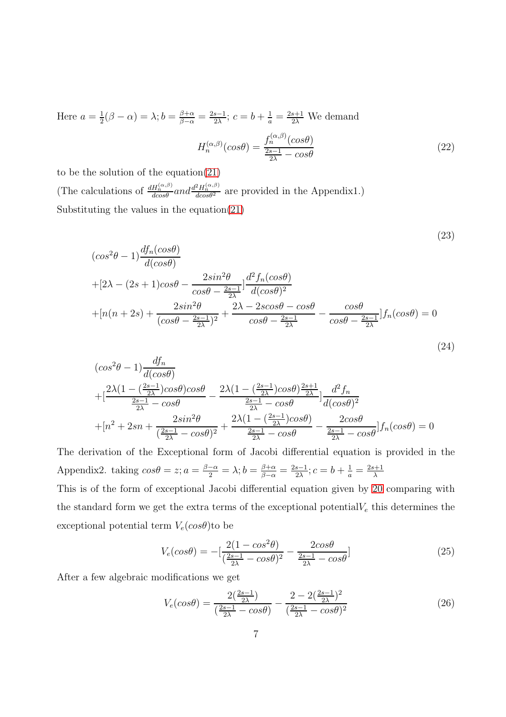Here  $a=\frac{1}{2}$  $\frac{1}{2}(\beta - \alpha) = \lambda; b = \frac{\beta + \alpha}{\beta - \alpha} = \frac{2s - 1}{2\lambda}$  $\frac{s-1}{2\lambda}$ ;  $c = b + \frac{1}{a} = \frac{2s+1}{2\lambda}$  We demand  $H_n^{(\alpha,\beta)}(cos\theta) = \frac{f_n^{(\alpha,\beta)}(cos\theta)}{2s-1}$  $\frac{2s-1}{2\lambda} - cos\theta$ (22)

to be the solution of the equation[\(21\)](#page-5-2) (The calculations of  $\frac{dH_n^{(\alpha,\beta)}}{d\cos\theta}$  and  $\frac{d^2H_n^{(\alpha,\beta)}}{d\cos\theta^2}$  are provided in the Appendix1.) Substituting the values in the equation[\(21\)](#page-5-2)

$$
\begin{aligned}\n(\cos^2\theta - 1) \frac{df_n(\cos\theta)}{d(\cos\theta)} \\
+ [2\lambda - (2s + 1)\cos\theta - \frac{2\sin^2\theta}{\cos\theta - \frac{2s-1}{2\lambda}}] \frac{d^2f_n(\cos\theta)}{d(\cos\theta)^2} \\
+ [n(n + 2s) + \frac{2\sin^2\theta}{(\cos\theta - \frac{2s-1}{2\lambda})^2} + \frac{2\lambda - 2s\cos\theta - \cos\theta}{\cos\theta - \frac{2s-1}{2\lambda}}] f_n(\cos\theta) = 0\n\end{aligned}
$$

(23)

(24)

$$
\begin{aligned}\n&(\cos^2\theta - 1)\frac{df_n}{d(\cos\theta)} \\
&+ [\frac{2\lambda(1 - (\frac{2s-1}{2\lambda})\cos\theta)\cos\theta}{\frac{2s-1}{2\lambda} - \cos\theta} - \frac{2\lambda(1 - (\frac{2s-1}{2\lambda})\cos\theta)^{\frac{2s+1}{2\lambda}}}{\frac{2s-1}{2\lambda} - \cos\theta}] \frac{d^2f_n}{d(\cos\theta)^2} \\
&+ [n^2 + 2sn + \frac{2sin^2\theta}{(\frac{2s-1}{2\lambda} - \cos\theta)^2} + \frac{2\lambda(1 - (\frac{2s-1}{2\lambda})\cos\theta)}{\frac{2s-1}{2\lambda} - \cos\theta} - \frac{2\cos\theta}{\frac{2s-1}{2\lambda} - \cos\theta}] f_n(\cos\theta) = 0\n\end{aligned}
$$

The derivation of the Exceptional form of Jacobi differential equation is provided in the Appendix2. taking  $\cos\theta = z$ ;  $a = \frac{\beta-\alpha}{2} = \lambda$ ;  $b = \frac{\beta+\alpha}{\beta-\alpha} = \frac{2s-1}{2\lambda}$  $\frac{s-1}{2\lambda}; c = b + \frac{1}{a} = \frac{2s+1}{\lambda}$ λ

This is of the form of exceptional Jacobi differential equation given by [20](#page-5-3) comparing with the standard form we get the extra terms of the exceptional potential  $V_e$  this determines the exceptional potential term  $V_e(cos\theta)$  to be

$$
V_e(cos\theta) = -[\frac{2(1 - cos^2\theta)}{(\frac{2s - 1}{2\lambda} - cos\theta)^2} - \frac{2cos\theta}{\frac{2s - 1}{2\lambda} - cos\theta}]
$$
\n(25)

After a few algebraic modifications we get

$$
V_e(cos\theta) = \frac{2(\frac{2s-1}{2\lambda})}{(\frac{2s-1}{2\lambda} - cos\theta)} - \frac{2 - 2(\frac{2s-1}{2\lambda})^2}{(\frac{2s-1}{2\lambda} - cos\theta)^2}
$$
(26)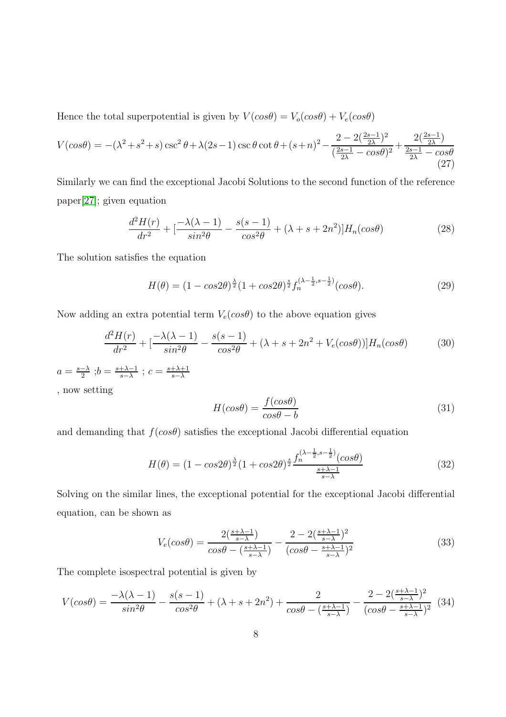Hence the total superpotential is given by  $V(cos\theta) = V_o(cos\theta) + V_e(cos\theta)$ 

$$
V(\cos\theta) = -(\lambda^2 + s^2 + s)\csc^2\theta + \lambda(2s - 1)\csc\theta\cot\theta + (s + n)^2 - \frac{2 - 2(\frac{2s - 1}{2\lambda})^2}{(\frac{2s - 1}{2\lambda} - \cos\theta)^2} + \frac{2(\frac{2s - 1}{2\lambda})}{\frac{2s - 1}{2\lambda} - \cos\theta}
$$
(27)

Similarly we can find the exceptional Jacobi Solutions to the second function of the reference paper[\[27\]](#page-16-14); given equation

$$
\frac{d^2H(r)}{dr^2} + \left[\frac{-\lambda(\lambda - 1)}{\sin^2\theta} - \frac{s(s - 1)}{\cos^2\theta} + (\lambda + s + 2n^2)\right]H_n(\cos\theta)
$$
\n(28)

The solution satisfies the equation

$$
H(\theta) = (1 - \cos 2\theta)^{\frac{\lambda}{2}} (1 + \cos 2\theta)^{\frac{s}{2}} f_n^{(\lambda - \frac{1}{2}, s - \frac{1}{2})} (\cos \theta). \tag{29}
$$

Now adding an extra potential term  $V_e(cos\theta)$  to the above equation gives

$$
\frac{d^2H(r)}{dr^2} + \left[\frac{-\lambda(\lambda - 1)}{\sin^2\theta} - \frac{s(s - 1)}{\cos^2\theta} + (\lambda + s + 2n^2 + V_e(\cos\theta))\right]H_n(\cos\theta)
$$
(30)

$$
a = \frac{s-\lambda}{2}; b = \frac{s+\lambda-1}{s-\lambda}; c = \frac{s+\lambda+1}{s-\lambda}
$$
  
, now setting  

$$
H(s, a\theta) = \frac{f(cos\theta)}{s}
$$
 (21)

 $H(cos\theta) = \frac{f(cos\theta)}{2}$  $cos\theta - b$ (31)

and demanding that  $f(cos\theta)$  satisfies the exceptional Jacobi differential equation

$$
H(\theta) = (1 - \cos 2\theta)^{\frac{\lambda}{2}} (1 + \cos 2\theta)^{\frac{s}{2}} \frac{f_n^{(\lambda - \frac{1}{2}, s - \frac{1}{2})} (\cos \theta)}{\frac{s + \lambda - 1}{s - \lambda}}
$$
(32)

Solving on the similar lines, the exceptional potential for the exceptional Jacobi differential equation, can be shown as

$$
V_e(cos\theta) = \frac{2\left(\frac{s+\lambda-1}{s-\lambda}\right)}{cos\theta - \left(\frac{s+\lambda-1}{s-\lambda}\right)} - \frac{2 - 2\left(\frac{s+\lambda-1}{s-\lambda}\right)^2}{(cos\theta - \frac{s+\lambda-1}{s-\lambda})^2}
$$
(33)

The complete isospectral potential is given by

$$
V(cos\theta) = \frac{-\lambda(\lambda - 1)}{sin^2\theta} - \frac{s(s - 1)}{cos^2\theta} + (\lambda + s + 2n^2) + \frac{2}{cos\theta - \left(\frac{s + \lambda - 1}{s - \lambda}\right)} - \frac{2 - 2\left(\frac{s + \lambda - 1}{s - \lambda}\right)^2}{(cos\theta - \frac{s + \lambda - 1}{s - \lambda})^2} (34)
$$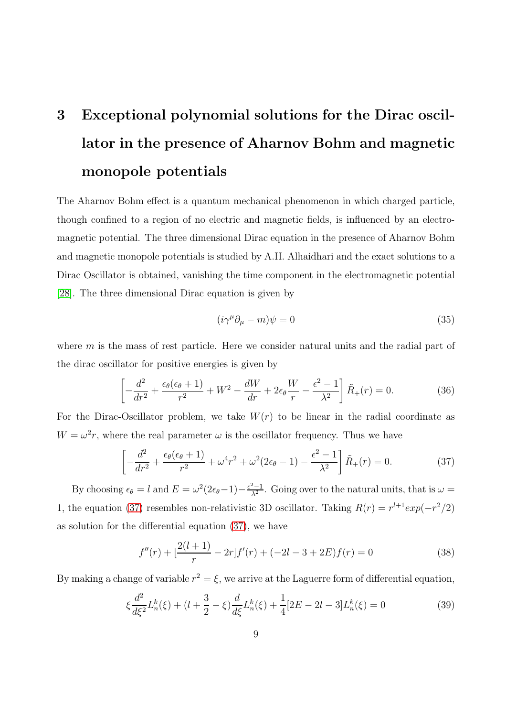# 3 Exceptional polynomial solutions for the Dirac oscillator in the presence of Aharnov Bohm and magnetic monopole potentials

The Aharnov Bohm effect is a quantum mechanical phenomenon in which charged particle, though confined to a region of no electric and magnetic fields, is influenced by an electromagnetic potential. The three dimensional Dirac equation in the presence of Aharnov Bohm and magnetic monopole potentials is studied by A.H. Alhaidhari and the exact solutions to a Dirac Oscillator is obtained, vanishing the time component in the electromagnetic potential [\[28\]](#page-16-15). The three dimensional Dirac equation is given by

$$
(i\gamma^{\mu}\partial_{\mu} - m)\psi = 0 \tag{35}
$$

where m is the mass of rest particle. Here we consider natural units and the radial part of the dirac oscillator for positive energies is given by

$$
\left[-\frac{d^2}{dr^2} + \frac{\epsilon_\theta(\epsilon_\theta + 1)}{r^2} + W^2 - \frac{dW}{dr} + 2\epsilon_\theta \frac{W}{r} - \frac{\epsilon^2 - 1}{\lambda^2}\right] \tilde{R}_+(r) = 0.
$$
 (36)

For the Dirac-Oscillator problem, we take  $W(r)$  to be linear in the radial coordinate as  $W = \omega^2 r$ , where the real parameter  $\omega$  is the oscillator frequency. Thus we have

<span id="page-8-0"></span>
$$
\left[ -\frac{d^2}{dr^2} + \frac{\epsilon_{\theta}(\epsilon_{\theta} + 1)}{r^2} + \omega^4 r^2 + \omega^2 (2\epsilon_{\theta} - 1) - \frac{\epsilon^2 - 1}{\lambda^2} \right] \tilde{R}_+(r) = 0.
$$
 (37)

By choosing  $\epsilon_{\theta} = l$  and  $E = \omega^2(2\epsilon_{\theta}-1) - \frac{\epsilon^2-1}{\lambda^2}$ . Going over to the natural units, that is  $\omega =$ 1, the equation [\(37\)](#page-8-0) resembles non-relativistic 3D oscillator. Taking  $R(r) = r^{l+1} exp(-r^2/2)$ as solution for the differential equation [\(37\)](#page-8-0), we have

$$
f''(r) + \left[\frac{2(l+1)}{r} - 2r\right]f'(r) + (-2l - 3 + 2E)f(r) = 0\tag{38}
$$

By making a change of variable  $r^2 = \xi$ , we arrive at the Laguerre form of differential equation,

$$
\xi \frac{d^2}{d\xi^2} L_n^k(\xi) + (l + \frac{3}{2} - \xi) \frac{d}{d\xi} L_n^k(\xi) + \frac{1}{4} [2E - 2l - 3] L_n^k(\xi) = 0 \tag{39}
$$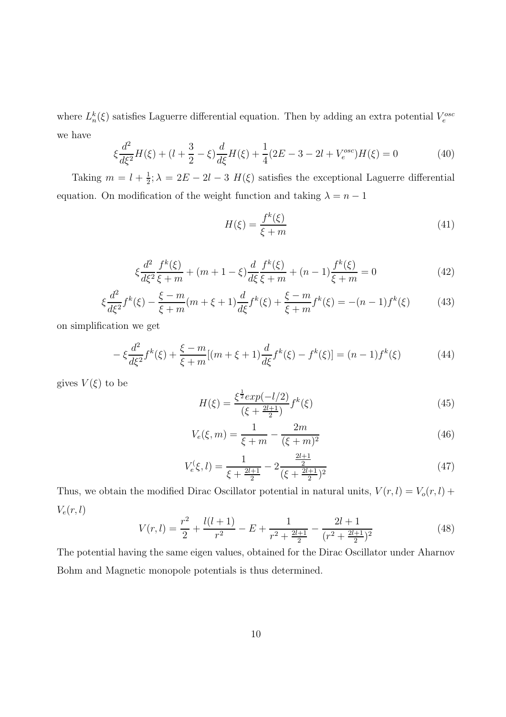where  $L_n^k(\xi)$  satisfies Laguerre differential equation. Then by adding an extra potential  $V_e^{osc}$ we have

$$
\xi \frac{d^2}{d\xi^2} H(\xi) + (l + \frac{3}{2} - \xi) \frac{d}{d\xi} H(\xi) + \frac{1}{4} (2E - 3 - 2l + V_e^{osc}) H(\xi) = 0 \tag{40}
$$

Taking  $m = l + \frac{1}{2}$  $\frac{1}{2}$ ;  $\lambda = 2E - 2l - 3$   $H(\xi)$  satisfies the exceptional Laguerre differential equation. On modification of the weight function and taking  $\lambda = n - 1$ 

$$
H(\xi) = \frac{f^k(\xi)}{\xi + m} \tag{41}
$$

$$
\xi \frac{d^2}{d\xi^2} \frac{f^k(\xi)}{\xi + m} + (m + 1 - \xi) \frac{d}{d\xi} \frac{f^k(\xi)}{\xi + m} + (n - 1) \frac{f^k(\xi)}{\xi + m} = 0
$$
\n(42)

$$
\xi \frac{d^2}{d\xi^2} f^k(\xi) - \frac{\xi - m}{\xi + m}(m + \xi + 1) \frac{d}{d\xi} f^k(\xi) + \frac{\xi - m}{\xi + m} f^k(\xi) = -(n - 1)f^k(\xi) \tag{43}
$$

on simplification we get

$$
-\xi \frac{d^2}{d\xi^2} f^k(\xi) + \frac{\xi - m}{\xi + m} [(m + \xi + 1) \frac{d}{d\xi} f^k(\xi) - f^k(\xi)] = (n - 1) f^k(\xi)
$$
(44)

gives  $V(\xi)$  to be

$$
H(\xi) = \frac{\xi^{\frac{1}{2}} \exp(-l/2)}{(\xi + \frac{2l+1}{2})} f^k(\xi)
$$
\n(45)

$$
V_e(\xi, m) = \frac{1}{\xi + m} - \frac{2m}{(\xi + m)^2}
$$
\n(46)

$$
V_e^{\left(\xi, l\right)} = \frac{1}{\xi + \frac{2l+1}{2}} - 2\frac{\frac{2l+1}{2}}{(\xi + \frac{2l+1}{2})^2} \tag{47}
$$

Thus, we obtain the modified Dirac Oscillator potential in natural units,  $V(r, l) = V_o(r, l) +$  $V_e(r, l)$ 

$$
V(r,l) = \frac{r^2}{2} + \frac{l(l+1)}{r^2} - E + \frac{1}{r^2 + \frac{2l+1}{2}} - \frac{2l+1}{(r^2 + \frac{2l+1}{2})^2}
$$
(48)

The potential having the same eigen values, obtained for the Dirac Oscillator under Aharnov Bohm and Magnetic monopole potentials is thus determined.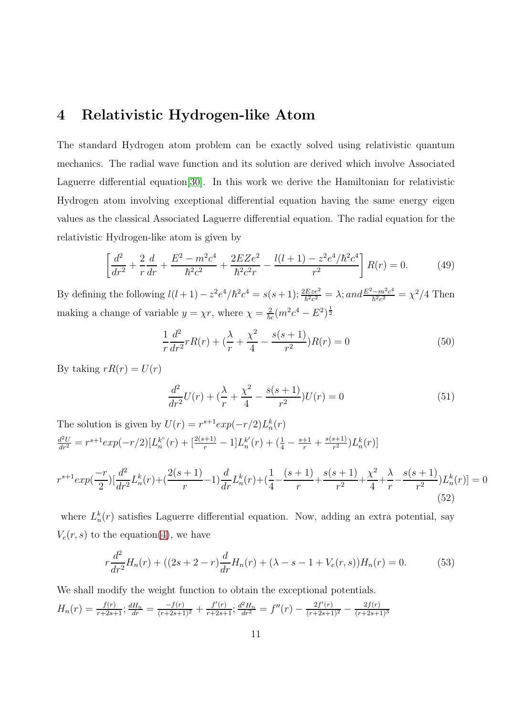#### 4 Relativistic Hydrogen-like Atom

The standard Hydrogen atom problem can be exactly solved using relativistic quantum mechanics. The radial wave function and its solution are derived which involve Associated Laguerre differential equation[\[30\]](#page-17-1). In this work we derive the Hamiltonian for relativistic Hydrogen atom involving exceptional differential equation having the same energy eigen values as the classical Associated Laguerre differential equation. The radial equation for the relativistic Hydrogen-like atom is given by

<span id="page-10-2"></span>
$$
\left[\frac{d^2}{dr^2} + \frac{2}{r}\frac{d}{dr} + \frac{E^2 - m^2c^4}{\hbar^2c^2} + \frac{2EZe^2}{\hbar^2c^2r} - \frac{l(l+1) - z^2e^4/\hbar^2c^4}{r^2}\right]R(r) = 0.
$$
 (49)

By defining the following  $l(l + 1) - z^2 e^4 / \hbar^2 c^4 = s(s + 1); \frac{2Eze^2}{\hbar^2 c^2} = \lambda; and \frac{E^2 - m^2 c^4}{\hbar^2 c^2}$  $\frac{-m^2c^4}{\hbar^2c^2} = \chi^2/4$  Then making a change of variable  $y = \chi r$ , where  $\chi = \frac{2}{\hbar c} (m^2 c^4 - E^2)^{\frac{1}{2}}$ 

$$
\frac{1}{r}\frac{d^2}{dr^2}rR(r) + \left(\frac{\lambda}{r} + \frac{\chi^2}{4} - \frac{s(s+1)}{r^2}\right)R(r) = 0\tag{50}
$$

By taking  $rR(r) = U(r)$ 

$$
\frac{d^2}{dr^2}U(r) + \left(\frac{\lambda}{r} + \frac{\chi^2}{4} - \frac{s(s+1)}{r^2}\right)U(r) = 0\tag{51}
$$

The solution is given by  $U(r) = r^{s+1} exp(-r/2) L_n^k(r)$  $\frac{d^2U}{dr^2} = r^{s+1} exp(-r/2)[L_n^{k''}(r) + \frac{[2(s+1)}{r} - 1]L_n^{k'}$  $\frac{k'}{n}(r) + (\frac{1}{4} - \frac{s+1}{r} + \frac{s(s+1)}{r^2})$  $\frac{(s+1)}{r^2}$ ) $L_n^k(r)$ ]

<span id="page-10-0"></span>
$$
r^{s+1} exp(\frac{-r}{2}) \left[ \frac{d^2}{dr^2} L_n^k(r) + \left( \frac{2(s+1)}{r} - 1 \right) \frac{d}{dr} L_n^k(r) + \left( \frac{1}{4} - \frac{(s+1)}{r} + \frac{s(s+1)}{r^2} + \frac{\chi^2}{4} + \frac{\lambda}{r} - \frac{s(s+1)}{r^2} \right) L_n^k(r) \right] = 0
$$
\n(52)

where  $L_n^k(r)$  satisfies Laguerre differential equation. Now, adding an extra potential, say  $V_e(r, s)$  to the equation[\(4\)](#page-10-0), we have

<span id="page-10-1"></span>
$$
r\frac{d^2}{dr^2}H_n(r) + ((2s+2-r)\frac{d}{dr}H_n(r) + (\lambda - s - 1 + V_e(r, s))H_n(r) = 0.
$$
 (53)

We shall modify the weight function to obtain the exceptional potentials.

$$
H_n(r) = \frac{f(r)}{r+2s+1}; \frac{dH_n}{dr} = \frac{-f(r)}{(r+2s+1)^2} + \frac{f'(r)}{r+2s+1}; \frac{d^2H_n}{dr^2} = f''(r) - \frac{2f'(r)}{(r+2s+1)^2} - \frac{2f(r)}{(r+2s+1)^3}
$$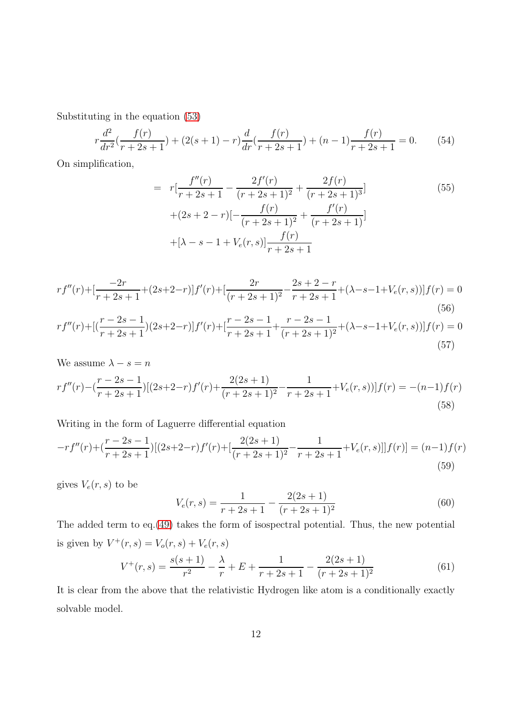Substituting in the equation [\(53\)](#page-10-1)

$$
r\frac{d^2}{dr^2}\left(\frac{f(r)}{r+2s+1}\right) + (2(s+1)-r)\frac{d}{dr}\left(\frac{f(r)}{r+2s+1}\right) + (n-1)\frac{f(r)}{r+2s+1} = 0.
$$
 (54)

On simplification,

$$
= r\left[\frac{f''(r)}{r+2s+1} - \frac{2f'(r)}{(r+2s+1)^2} + \frac{2f(r)}{(r+2s+1)^3}\right] + (2s+2-r)\left[-\frac{f(r)}{(r+2s+1)^2} + \frac{f'(r)}{(r+2s+1)}\right] + \left[\lambda - s - 1 + V_e(r,s)\right]\frac{f(r)}{r+2s+1}
$$
\n(55)

$$
rf''(r) + \left[\frac{-2r}{r+2s+1} + (2s+2-r)\right]f'(r) + \left[\frac{2r}{(r+2s+1)^2} - \frac{2s+2-r}{r+2s+1} + (\lambda-s-1+V_e(r,s))\right]f(r) = 0
$$
\n
$$
(56)
$$
\n
$$
rf''(r) + \left[\left(\frac{r-2s-1}{r+2s+1}\right)(2s+2-r)\right]f'(r) + \left[\frac{r-2s-1}{r+2s+1} + \frac{r-2s-1}{(r+2s+1)^2} + (\lambda-s-1+V_e(r,s))\right]f(r) = 0
$$
\n
$$
(57)
$$

We assume  $\lambda - s = n$ 

$$
rf''(r) - \left(\frac{r-2s-1}{r+2s+1}\right)[(2s+2-r)f'(r) + \frac{2(2s+1)}{(r+2s+1)^2} - \frac{1}{r+2s+1} + V_e(r,s))]f(r) = -(n-1)f(r)
$$
\n(58)

Writing in the form of Laguerre differential equation

$$
-rf''(r) + (\frac{r-2s-1}{r+2s+1})[(2s+2-r)f'(r) + [\frac{2(2s+1)}{(r+2s+1)^2} - \frac{1}{r+2s+1} + V_e(r,s)]]f(r)] = (n-1)f(r)
$$
\n(59)

gives  $V_e(r, s)$  to be

$$
V_e(r,s) = \frac{1}{r+2s+1} - \frac{2(2s+1)}{(r+2s+1)^2}
$$
(60)

The added term to eq.[\(49\)](#page-10-2) takes the form of isospectral potential. Thus, the new potential is given by  $V^+(r, s) = V_o(r, s) + V_e(r, s)$ 

$$
V^+(r,s) = \frac{s(s+1)}{r^2} - \frac{\lambda}{r} + E + \frac{1}{r+2s+1} - \frac{2(2s+1)}{(r+2s+1)^2}
$$
(61)

It is clear from the above that the relativistic Hydrogen like atom is a conditionally exactly solvable model.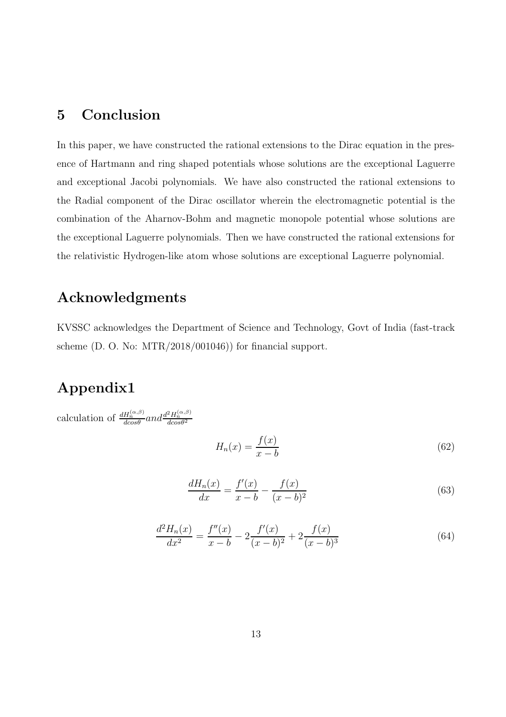### 5 Conclusion

In this paper, we have constructed the rational extensions to the Dirac equation in the presence of Hartmann and ring shaped potentials whose solutions are the exceptional Laguerre and exceptional Jacobi polynomials. We have also constructed the rational extensions to the Radial component of the Dirac oscillator wherein the electromagnetic potential is the combination of the Aharnov-Bohm and magnetic monopole potential whose solutions are the exceptional Laguerre polynomials. Then we have constructed the rational extensions for the relativistic Hydrogen-like atom whose solutions are exceptional Laguerre polynomial.

### Acknowledgments

KVSSC acknowledges the Department of Science and Technology, Govt of India (fast-track scheme (D. O. No: MTR/2018/001046)) for financial support.

### Appendix1

calculation of  $\frac{dH_n^{(\alpha,\beta)}}{dcos\theta}$  and  $\frac{d^2H_n^{(\alpha,\beta)}}{dcos\theta^2}$ 

$$
H_n(x) = \frac{f(x)}{x - b} \tag{62}
$$

$$
\frac{dH_n(x)}{dx} = \frac{f'(x)}{x - b} - \frac{f(x)}{(x - b)^2} \tag{63}
$$

$$
\frac{d^2H_n(x)}{dx^2} = \frac{f''(x)}{x-b} - 2\frac{f'(x)}{(x-b)^2} + 2\frac{f(x)}{(x-b)^3}
$$
(64)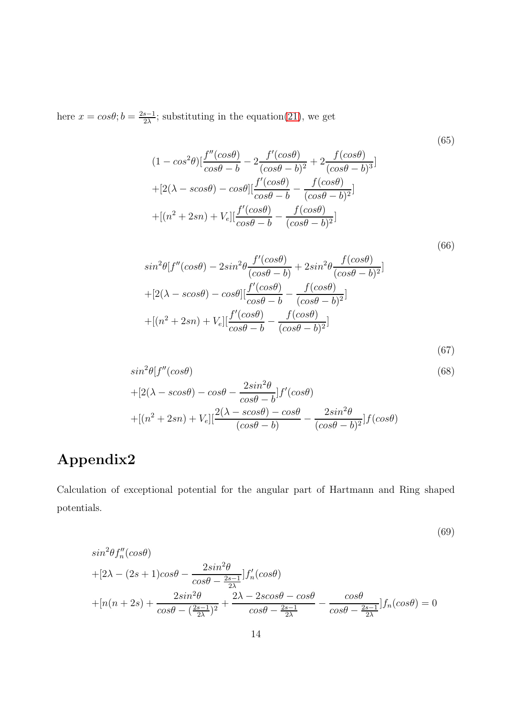here  $x = cos\theta$ ;  $b = \frac{2s-1}{2\lambda}$  $\frac{s-1}{2\lambda}$ ; substituting in the equation[\(21\)](#page-5-2), we get

$$
(1 - \cos^2\theta) \left[ \frac{f''(\cos\theta)}{\cos\theta - b} - 2 \frac{f'(\cos\theta)}{(\cos\theta - b)^2} + 2 \frac{f(\cos\theta)}{(\cos\theta - b)^3} \right]
$$
  
+ 
$$
[2(\lambda - \cos\theta) - \cos\theta] \left[ \frac{f'(\cos\theta)}{\cos\theta - b} - \frac{f(\cos\theta)}{(\cos\theta - b)^2} \right]
$$
  
+ 
$$
[(n^2 + 2sn) + V_e] \left[ \frac{f'(\cos\theta)}{\cos\theta - b} - \frac{f(\cos\theta)}{(\cos\theta - b)^2} \right]
$$

$$
sin^{2}\theta[f''(cos\theta) - 2sin^{2}\theta \frac{f'(cos\theta)}{(cos\theta - b)} + 2sin^{2}\theta \frac{f(cos\theta)}{(cos\theta - b)^{2}}]
$$
  
+
$$
[2(\lambda - scos\theta) - cos\theta][\frac{f'(cos\theta)}{cos\theta - b} - \frac{f(cos\theta)}{(cos\theta - b)^{2}}]
$$
  
+
$$
[(n^{2} + 2sn) + V_{e}][\frac{f'(cos\theta)}{cos\theta - b} - \frac{f(cos\theta)}{(cos\theta - b)^{2}}]
$$

$$
(67)
$$

(69)

(66)

$$
\sin^2\theta[f''(\cos\theta) + [2(\lambda - s\cos\theta) - \cos\theta - \frac{2\sin^2\theta}{\cos\theta - b}]f'(\cos\theta) + [(n^2 + 2sn) + V_e][\frac{2(\lambda - s\cos\theta) - \cos\theta}{(\cos\theta - b)} - \frac{2\sin^2\theta}{(\cos\theta - b)^2}]f(\cos\theta)
$$
(68)

## Appendix2

Calculation of exceptional potential for the angular part of Hartmann and Ring shaped potentials.

$$
sin^{2}\theta f''_{n}(cos\theta)
$$
  
+
$$
[2\lambda - (2s + 1)cos\theta - \frac{2sin^{2}\theta}{cos\theta - \frac{2s-1}{2\lambda}}]f'_{n}(cos\theta)
$$
  
+
$$
[n(n + 2s) + \frac{2sin^{2}\theta}{cos\theta - (\frac{2s-1}{2\lambda})^{2}} + \frac{2\lambda - 2scos\theta - cos\theta}{cos\theta - \frac{2s-1}{2\lambda}} - \frac{cos\theta}{cos\theta - \frac{2s-1}{2\lambda}}]f_{n}(cos\theta) = 0
$$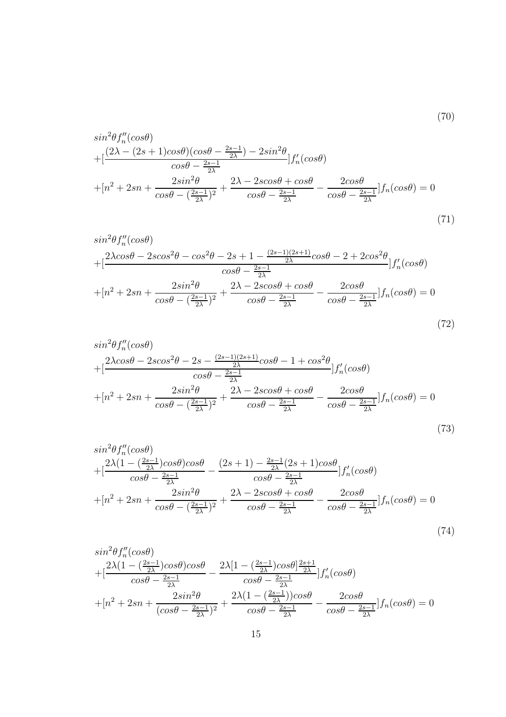$$
\sin^2\theta f''_n(\cos\theta) \n+ \left[ \frac{(2\lambda - (2s+1)\cos\theta)(\cos\theta - \frac{2s-1}{2\lambda}) - 2\sin^2\theta}{\cos\theta - \frac{2s-1}{2\lambda}} \right] f'_n(\cos\theta) \n+ \left[ n^2 + 2sn + \frac{2\sin^2\theta}{\cos\theta - (\frac{2s-1}{2\lambda})^2} + \frac{2\lambda - 2s\cos\theta + \cos\theta}{\cos\theta - \frac{2s-1}{2\lambda}} - \frac{2\cos\theta}{\cos\theta - \frac{2s-1}{2\lambda}} \right] f_n(\cos\theta) = 0
$$
\n(71)

(70)

$$
\sin^2\theta f_n''(\cos\theta) \n+ \left[ \frac{2\lambda \cos\theta - 2\alpha \cos^2\theta - \cos^2\theta - 2s + 1 - \frac{(2s-1)(2s+1)}{2\lambda}\cos\theta - 2 + 2\cos^2\theta}{\cos\theta - \frac{2s-1}{2\lambda}} \right] f_n'(\cos\theta) \n+ \left[ n^2 + 2sn + \frac{2\sin^2\theta}{\cos\theta - \left(\frac{2s-1}{2\lambda}\right)^2} + \frac{2\lambda - 2\alpha \cos\theta + \cos\theta}{\cos\theta - \frac{2s-1}{2\lambda}} - \frac{2\alpha \sin\theta}{\cos\theta - \frac{2s-1}{2\lambda}} \right] f_n(\cos\theta) = 0
$$
\n(72)

$$
\sin^2\theta f_n''(\cos\theta) \n+ \left[\frac{2\lambda\cos\theta - 2\alpha\cos^2\theta - 2s - \frac{(2s-1)(2s+1)}{2\lambda}\cos\theta - 1 + \cos^2\theta}{\cos\theta - \frac{2s-1}{2\lambda}}\right] f_n'(\cos\theta) \n+ \left[n^2 + 2sn + \frac{2\sin^2\theta}{\cos\theta - \left(\frac{2s-1}{2\lambda}\right)^2} + \frac{2\lambda - 2\alpha\cos\theta + \cos\theta}{\cos\theta - \frac{2s-1}{2\lambda}} - \frac{2\alpha s\theta}{\cos\theta - \frac{2s-1}{2\lambda}}\right] f_n(\cos\theta) = 0
$$
\n(73)

$$
\sin^2\theta f_n''(\cos\theta) \n+ \left[ \frac{2\lambda(1 - (\frac{2s-1}{2\lambda})\cos\theta)\cos\theta}{\cos\theta - \frac{2s-1}{2\lambda}} - \frac{(2s+1) - \frac{2s-1}{2\lambda}(2s+1)\cos\theta}{\cos\theta - \frac{2s-1}{2\lambda}} \right] f_n'(\cos\theta) \n+ \left[ n^2 + 2sn + \frac{2\sin^2\theta}{\cos\theta - (\frac{2s-1}{2\lambda})^2} + \frac{2\lambda - 2s\cos\theta + \cos\theta}{\cos\theta - \frac{2s-1}{2\lambda}} - \frac{2\cos\theta}{\cos\theta - \frac{2s-1}{2\lambda}} \right] f_n(\cos\theta) = 0
$$
\n(74)

$$
sin^2\theta f''_n(cos\theta)
$$
  
+
$$
[\frac{2\lambda(1 - (\frac{2s-1}{2\lambda})cos\theta)cos\theta}{cos\theta - \frac{2s-1}{2\lambda}} - \frac{2\lambda[1 - (\frac{2s-1}{2\lambda})cos\theta] \frac{2s+1}{2\lambda}}{cos\theta - \frac{2s-1}{2\lambda}}]f'_n(cos\theta)
$$
  
+
$$
[n^2 + 2sn + \frac{2sin^2\theta}{(cos\theta - \frac{2s-1}{2\lambda})^2} + \frac{2\lambda(1 - (\frac{2s-1}{2\lambda}))cos\theta}{cos\theta - \frac{2s-1}{2\lambda}} - \frac{2cos\theta}{cos\theta - \frac{2s-1}{2\lambda}}]f_n(cos\theta) = 0
$$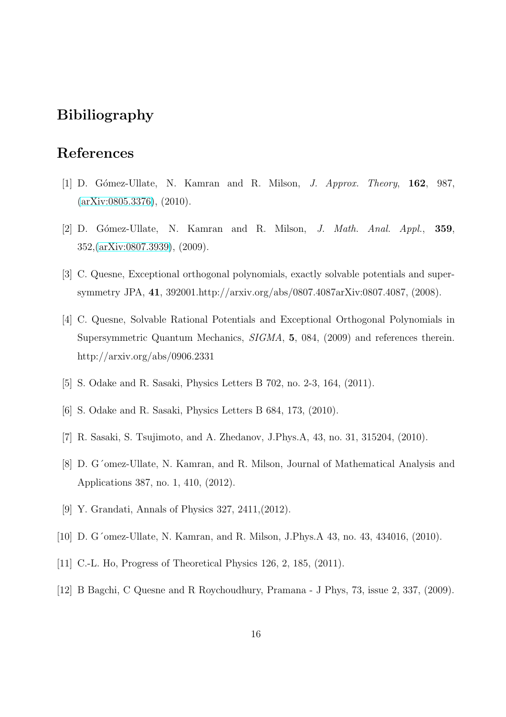#### Bibiliography

#### <span id="page-15-0"></span>References

- <span id="page-15-1"></span>[1] D. G´omez-Ullate, N. Kamran and R. Milson, J. Approx. Theory, 162, 987, [\(arXiv:0805.3376\)](http://arxiv.org/abs/0805.3376), (2010).
- <span id="page-15-2"></span>[2] D. Gómez-Ullate, N. Kamran and R. Milson, *J. Math. Anal. Appl.*, **359**, 352,[\(arXiv:0807.3939\)](http://arxiv.org/abs/0807.3939), (2009).
- <span id="page-15-3"></span>[3] C. Quesne, Exceptional orthogonal polynomials, exactly solvable potentials and supersymmetry JPA, 41, 392001.http://arxiv.org/abs/0807.4087arXiv:0807.4087, (2008).
- [4] C. Quesne, Solvable Rational Potentials and Exceptional Orthogonal Polynomials in Supersymmetric Quantum Mechanics, SIGMA, 5, 084, (2009) and references therein. http://arxiv.org/abs/0906.2331
- <span id="page-15-5"></span><span id="page-15-4"></span>[5] S. Odake and R. Sasaki, Physics Letters B 702, no. 2-3, 164, (2011).
- <span id="page-15-6"></span>[6] S. Odake and R. Sasaki, Physics Letters B 684, 173, (2010).
- <span id="page-15-7"></span>[7] R. Sasaki, S. Tsujimoto, and A. Zhedanov, J.Phys.A, 43, no. 31, 315204, (2010).
- <span id="page-15-8"></span>[8] D. G´omez-Ullate, N. Kamran, and R. Milson, Journal of Mathematical Analysis and Applications 387, no. 1, 410, (2012).
- <span id="page-15-9"></span>[9] Y. Grandati, Annals of Physics 327, 2411,(2012).
- <span id="page-15-10"></span>[10] D. G'omez-Ullate, N. Kamran, and R. Milson, J.Phys.A 43, no. 43, 434016, (2010).
- <span id="page-15-11"></span>[11] C.-L. Ho, Progress of Theoretical Physics 126, 2, 185, (2011).
- [12] B Bagchi, C Quesne and R Roychoudhury, Pramana J Phys, 73, issue 2, 337, (2009).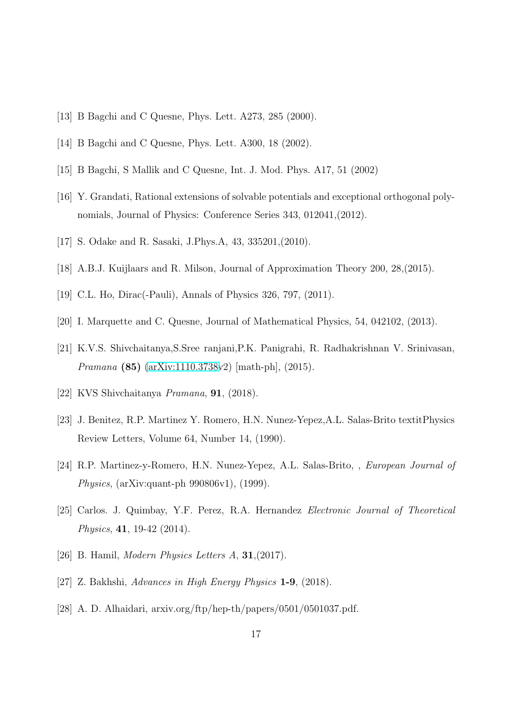- <span id="page-16-1"></span><span id="page-16-0"></span>[13] B Bagchi and C Quesne, Phys. Lett. A273, 285 (2000).
- <span id="page-16-2"></span>[14] B Bagchi and C Quesne, Phys. Lett. A300, 18 (2002).
- <span id="page-16-3"></span>[15] B Bagchi, S Mallik and C Quesne, Int. J. Mod. Phys. A17, 51 (2002)
- <span id="page-16-4"></span>[16] Y. Grandati, Rational extensions of solvable potentials and exceptional orthogonal polynomials, Journal of Physics: Conference Series 343, 012041,(2012).
- <span id="page-16-5"></span>[17] S. Odake and R. Sasaki, J.Phys.A, 43, 335201,(2010).
- <span id="page-16-6"></span>[18] A.B.J. Kuijlaars and R. Milson, Journal of Approximation Theory 200, 28,(2015).
- <span id="page-16-7"></span>[19] C.L. Ho, Dirac(-Pauli), Annals of Physics 326, 797, (2011).
- <span id="page-16-8"></span>[20] I. Marquette and C. Quesne, Journal of Mathematical Physics, 54, 042102, (2013).
- <span id="page-16-9"></span>[21] K.V.S. Shivchaitanya,S.Sree ranjani,P.K. Panigrahi, R. Radhakrishnan V. Srinivasan, Pramana (85) [\(arXiv:1110.3738v](http://arxiv.org/abs/1110.3738)2) [math-ph], (2015).
- <span id="page-16-10"></span>[22] KVS Shivchaitanya Pramana, 91, (2018).
- <span id="page-16-11"></span>[23] J. Benitez, R.P. Martinez Y. Romero, H.N. Nunez-Yepez,A.L. Salas-Brito textitPhysics Review Letters, Volume 64, Number 14, (1990).
- <span id="page-16-12"></span>[24] R.P. Martinez-y-Romero, H.N. Nunez-Yepez, A.L. Salas-Brito, , European Journal of Physics, (arXiv:quant-ph 990806v1), (1999).
- <span id="page-16-13"></span>[25] Carlos. J. Quimbay, Y.F. Perez, R.A. Hernandez Electronic Journal of Theoretical Physics, 41, 19-42 (2014).
- <span id="page-16-14"></span>[26] B. Hamil, *Modern Physics Letters A*, **31**, (2017).
- <span id="page-16-15"></span>[27] Z. Bakhshi, Advances in High Energy Physics 1-9, (2018).
- [28] A. D. Alhaidari, arxiv.org/ftp/hep-th/papers/0501/0501037.pdf.